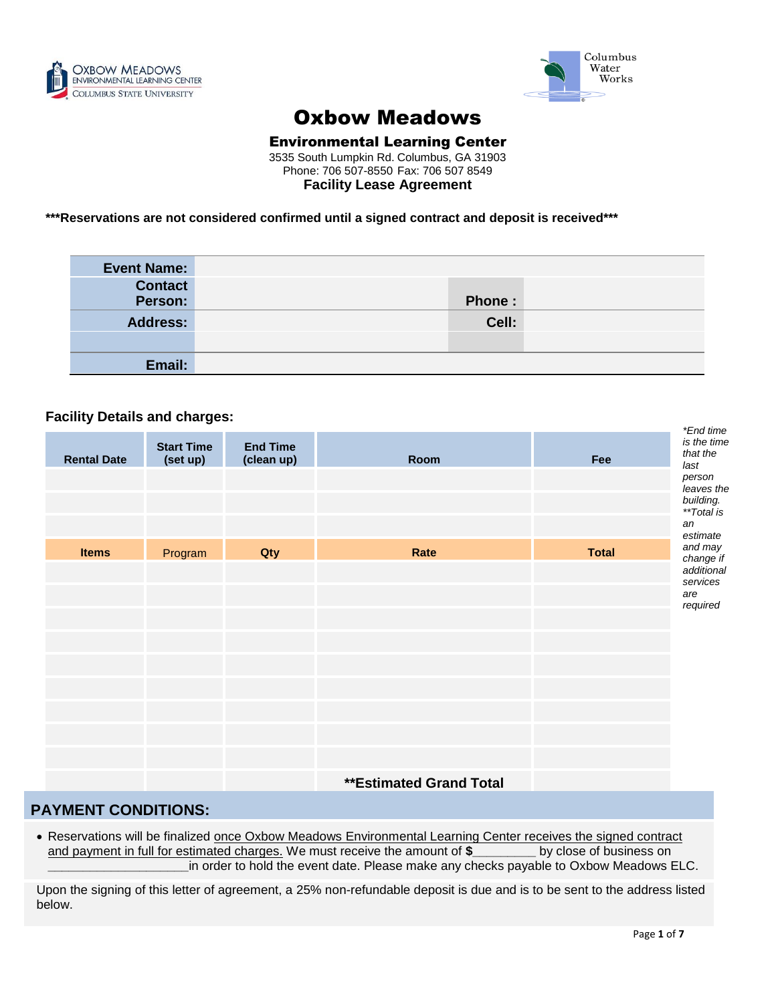



# Oxbow Meadows

# Environmental Learning Center

3535 South Lumpkin Rd. Columbus, GA 31903 Phone: 706 507-8550 Fax: 706 507 8549 **Facility Lease Agreement**

**\*\*\*Reservations are not considered confirmed until a signed contract and deposit is received\*\*\***

| <b>Event Name:</b> |        |  |
|--------------------|--------|--|
| <b>Contact</b>     |        |  |
| Person:            | Phone: |  |
| <b>Address:</b>    | Cell:  |  |
|                    |        |  |
| Email:             |        |  |

## **Facility Details and charges:**

|                    | ັ                             |                               |                                |              | *End time                       |
|--------------------|-------------------------------|-------------------------------|--------------------------------|--------------|---------------------------------|
| <b>Rental Date</b> | <b>Start Time</b><br>(set up) | <b>End Time</b><br>(clean up) | Room                           | Fee          | is the time<br>that the<br>last |
|                    |                               |                               |                                |              | person                          |
|                    |                               |                               |                                |              | leaves the<br>building.         |
|                    |                               |                               |                                |              | **Total is<br>an                |
|                    |                               |                               |                                |              | estimate                        |
| <b>Items</b>       | Program                       | Qty                           | Rate                           | <b>Total</b> | and may<br>change if            |
|                    |                               |                               |                                |              | additional<br>services          |
|                    |                               |                               |                                |              | are                             |
|                    |                               |                               |                                |              | required                        |
|                    |                               |                               |                                |              |                                 |
|                    |                               |                               |                                |              |                                 |
|                    |                               |                               |                                |              |                                 |
|                    |                               |                               |                                |              |                                 |
|                    |                               |                               |                                |              |                                 |
|                    |                               |                               |                                |              |                                 |
|                    |                               |                               |                                |              |                                 |
|                    |                               |                               |                                |              |                                 |
|                    |                               |                               | <b>**Estimated Grand Total</b> |              |                                 |

## **PAYMENT CONDITIONS:**

• Reservations will be finalized once Oxbow Meadows Environmental Learning Center receives the signed contract and payment in full for estimated charges. We must receive the amount of  $\frac{1}{2}$  by close of business on **\_\_\_\_\_\_\_\_\_\_\_\_\_\_\_\_\_\_\_\_**in order to hold the event date. Please make any checks payable to Oxbow Meadows ELC.

Upon the signing of this letter of agreement, a 25% non-refundable deposit is due and is to be sent to the address listed below.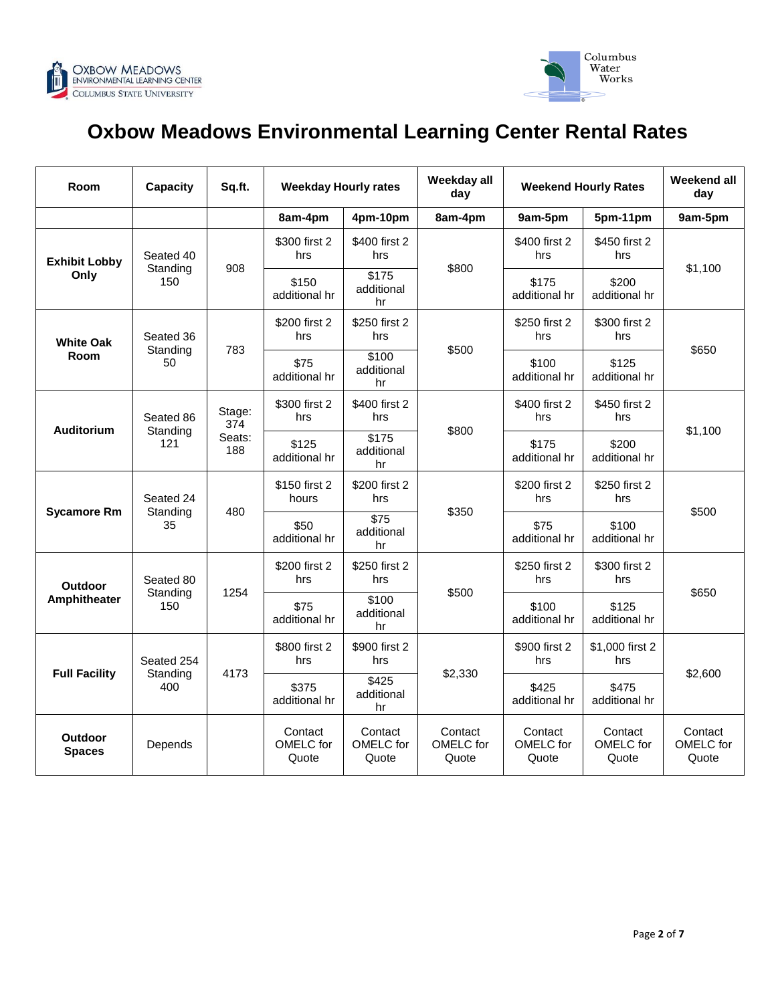



# **Oxbow Meadows Environmental Learning Center Rental Rates**

| Room                           | Capacity                      | Sq.ft.                         | <b>Weekday Hourly rates</b>   |                                       | Weekday all<br>day            | <b>Weekend Hourly Rates</b>   |                               | Weekend all<br>day            |
|--------------------------------|-------------------------------|--------------------------------|-------------------------------|---------------------------------------|-------------------------------|-------------------------------|-------------------------------|-------------------------------|
|                                |                               |                                | 8am-4pm                       | 4pm-10pm                              | 8am-4pm                       | 9am-5pm                       | 5pm-11pm                      | 9am-5pm                       |
| <b>Exhibit Lobby</b><br>Only   | Seated 40<br>Standing<br>150  | 908                            | \$300 first 2<br>hrs          | \$400 first 2<br>hrs                  | \$800                         | \$400 first 2<br>hrs          | \$450 first 2<br>hrs          | \$1,100                       |
|                                |                               |                                | \$150<br>additional hr        | \$175<br>additional<br>hr             |                               | \$175<br>additional hr        | \$200<br>additional hr        |                               |
| <b>White Oak</b><br>Room       | Seated 36<br>Standing<br>50   | 783                            | \$200 first 2<br>hrs          | \$250 first 2<br>hrs                  | \$500                         | \$250 first 2<br>hrs          | \$300 first 2<br>hrs          | \$650                         |
|                                |                               |                                | \$75<br>additional hr         | \$100<br>additional<br>hr             |                               | \$100<br>additional hr        | \$125<br>additional hr        |                               |
| Auditorium                     | Seated 86<br>Standing<br>121  | Stage:<br>374<br>Seats:<br>188 | \$300 first 2<br>hrs          | \$400 first 2<br>hrs                  | \$800                         | \$400 first 2<br>hrs          | \$450 first 2<br>hrs          | \$1,100                       |
|                                |                               |                                | \$125<br>additional hr        | \$175<br>additional<br>hr             |                               | \$175<br>additional hr        | \$200<br>additional hr        |                               |
| <b>Sycamore Rm</b>             | Seated 24<br>Standing<br>35   | 480                            | \$150 first 2<br>hours        | \$200 first 2<br>hrs                  | \$350                         | \$200 first 2<br>hrs          | \$250 first 2<br>hrs          | \$500                         |
|                                |                               |                                | \$50<br>additional hr         | $\overline{$75}$<br>additional<br>hr  |                               | \$75<br>additional hr         | \$100<br>additional hr        |                               |
| <b>Outdoor</b><br>Amphitheater | Seated 80<br>Standing<br>150  | 1254                           | \$200 first 2<br>hrs          | \$250 first 2<br>hrs                  | \$500                         | \$250 first 2<br>hrs          | \$300 first 2<br>hrs          | \$650                         |
|                                |                               |                                | \$75<br>additional hr         | $\overline{$100}$<br>additional<br>hr |                               | \$100<br>additional hr        | \$125<br>additional hr        |                               |
| <b>Full Facility</b>           | Seated 254<br>Standing<br>400 | 4173                           | \$800 first 2<br>hrs          | \$900 first 2<br>hrs                  | \$2,330                       | \$900 first 2<br>hrs          | \$1,000 first 2<br>hrs        | \$2,600                       |
|                                |                               |                                | \$375<br>additional hr        | \$425<br>additional<br>hr             |                               | \$425<br>additional hr        | \$475<br>additional hr        |                               |
| Outdoor<br><b>Spaces</b>       | Depends                       |                                | Contact<br>OMELC for<br>Quote | Contact<br>OMELC for<br>Quote         | Contact<br>OMELC for<br>Quote | Contact<br>OMELC for<br>Quote | Contact<br>OMELC for<br>Quote | Contact<br>OMELC for<br>Quote |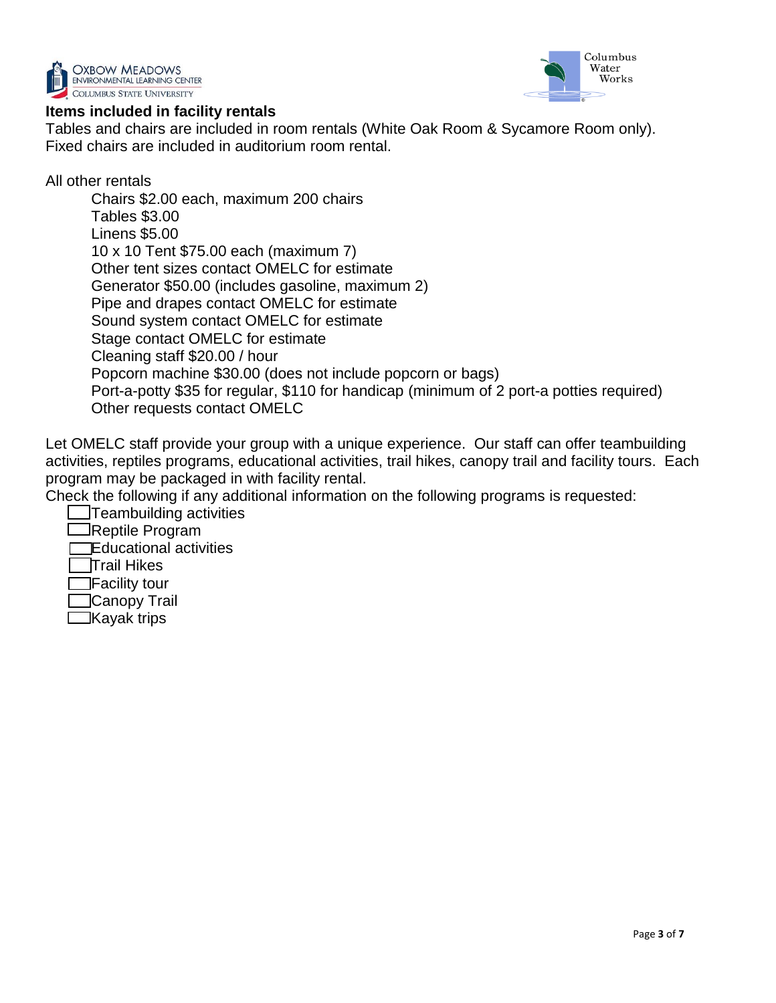



## **Items included in facility rentals**

Tables and chairs are included in room rentals (White Oak Room & Sycamore Room only). Fixed chairs are included in auditorium room rental.

All other rentals

Chairs \$2.00 each, maximum 200 chairs Tables \$3.00 Linens \$5.00 10 x 10 Tent \$75.00 each (maximum 7) Other tent sizes contact OMELC for estimate Generator \$50.00 (includes gasoline, maximum 2) Pipe and drapes contact OMELC for estimate Sound system contact OMELC for estimate Stage contact OMELC for estimate Cleaning staff \$20.00 / hour Popcorn machine \$30.00 (does not include popcorn or bags) Port-a-potty \$35 for regular, \$110 for handicap (minimum of 2 port-a potties required) Other requests contact OMELC

Let OMELC staff provide your group with a unique experience. Our staff can offer teambuilding activities, reptiles programs, educational activities, trail hikes, canopy trail and facility tours. Each program may be packaged in with facility rental.

Check the following if any additional information on the following programs is requested:

Teambuilding activities Reptile Program Educational activities Trail Hikes Facility tour Canopy Trail  $\Box$ Kayak trips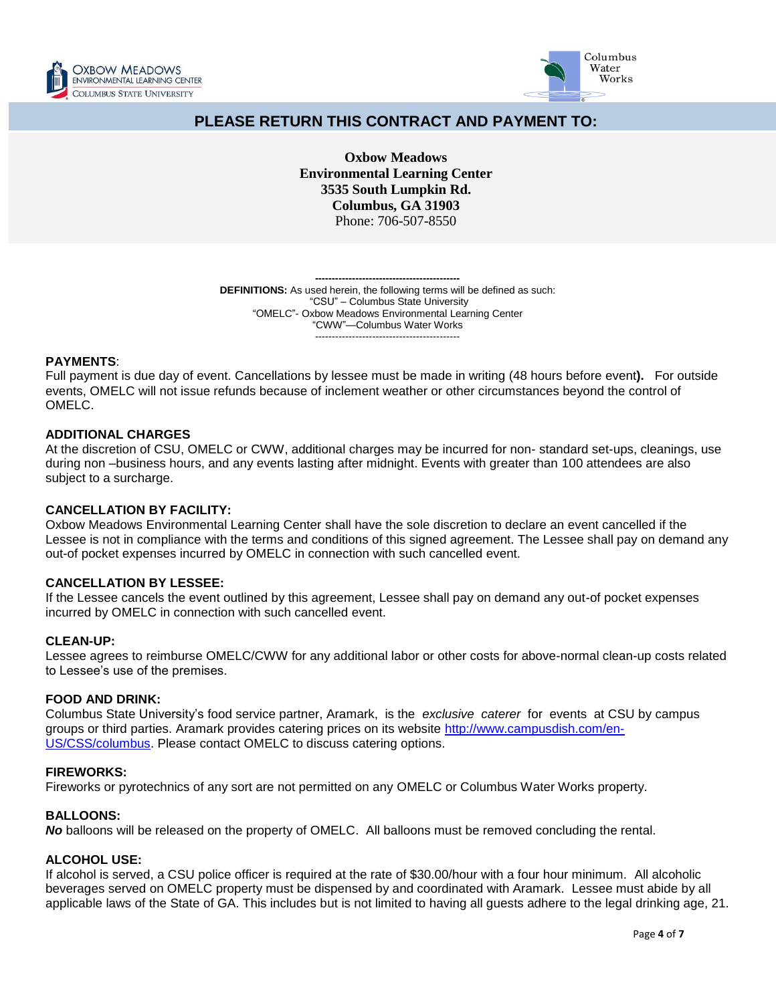



# **PLEASE RETURN THIS CONTRACT AND PAYMENT TO:**

**Oxbow Meadows Environmental Learning Center 3535 South Lumpkin Rd. Columbus, GA 31903** Phone: 706-507-8550

**------------------------------------------- DEFINITIONS:** As used herein, the following terms will be defined as such: "CSU" – Columbus State University "OMELC"- Oxbow Meadows Environmental Learning Center "CWW"—Columbus Water Works -------------------------------------------

## **PAYMENTS**:

Full payment is due day of event. Cancellations by lessee must be made in writing (48 hours before event**).** For outside events, OMELC will not issue refunds because of inclement weather or other circumstances beyond the control of OMELC.

## **ADDITIONAL CHARGES**

At the discretion of CSU, OMELC or CWW, additional charges may be incurred for non- standard set-ups, cleanings, use during non –business hours, and any events lasting after midnight. Events with greater than 100 attendees are also subject to a surcharge.

## **CANCELLATION BY FACILITY:**

Oxbow Meadows Environmental Learning Center shall have the sole discretion to declare an event cancelled if the Lessee is not in compliance with the terms and conditions of this signed agreement. The Lessee shall pay on demand any out-of pocket expenses incurred by OMELC in connection with such cancelled event.

## **CANCELLATION BY LESSEE:**

If the Lessee cancels the event outlined by this agreement, Lessee shall pay on demand any out-of pocket expenses incurred by OMELC in connection with such cancelled event.

## **CLEAN-UP:**

Lessee agrees to reimburse OMELC/CWW for any additional labor or other costs for above-normal clean-up costs related to Lessee's use of the premises.

## **FOOD AND DRINK:**

Columbus State University's food service partner, Aramark, is the *exclusive caterer* for events at CSU by campus groups or third parties. Aramark provides catering prices on its website [http://www.campusdish.com/en-](http://www.campusdish.com/en-US/CSS/columbus)[US/CSS/columbus.](http://www.campusdish.com/en-US/CSS/columbus) Please contact OMELC to discuss catering options.

## **FIREWORKS:**

Fireworks or pyrotechnics of any sort are not permitted on any OMELC or Columbus Water Works property.

## **BALLOONS:**

*No* balloons will be released on the property of OMELC. All balloons must be removed concluding the rental.

## **ALCOHOL USE:**

If alcohol is served, a CSU police officer is required at the rate of \$30.00/hour with a four hour minimum. All alcoholic beverages served on OMELC property must be dispensed by and coordinated with Aramark. Lessee must abide by all applicable laws of the State of GA. This includes but is not limited to having all guests adhere to the legal drinking age, 21.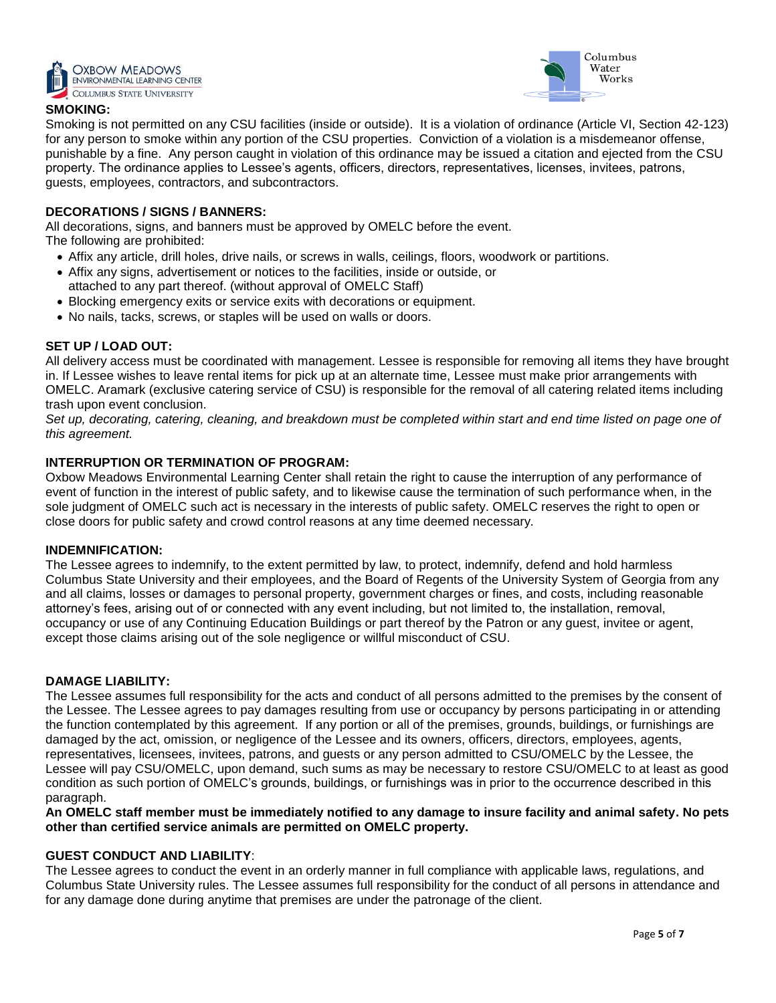



## **SMOKING:**

Smoking is not permitted on any CSU facilities (inside or outside). It is a violation of ordinance (Article VI, Section 42-123) for any person to smoke within any portion of the CSU properties. Conviction of a violation is a misdemeanor offense, punishable by a fine. Any person caught in violation of this ordinance may be issued a citation and ejected from the CSU property. The ordinance applies to Lessee's agents, officers, directors, representatives, licenses, invitees, patrons, guests, employees, contractors, and subcontractors.

## **DECORATIONS / SIGNS / BANNERS:**

All decorations, signs, and banners must be approved by OMELC before the event. The following are prohibited:

- Affix any article, drill holes, drive nails, or screws in walls, ceilings, floors, woodwork or partitions.
- Affix any signs, advertisement or notices to the facilities, inside or outside, or
- attached to any part thereof. (without approval of OMELC Staff)
- Blocking emergency exits or service exits with decorations or equipment.
- No nails, tacks, screws, or staples will be used on walls or doors.

## **SET UP / LOAD OUT:**

All delivery access must be coordinated with management. Lessee is responsible for removing all items they have brought in. If Lessee wishes to leave rental items for pick up at an alternate time, Lessee must make prior arrangements with OMELC. Aramark (exclusive catering service of CSU) is responsible for the removal of all catering related items including trash upon event conclusion.

Set up, decorating, catering, cleaning, and breakdown must be completed within start and end time listed on page one of *this agreement.*

## **INTERRUPTION OR TERMINATION OF PROGRAM:**

Oxbow Meadows Environmental Learning Center shall retain the right to cause the interruption of any performance of event of function in the interest of public safety, and to likewise cause the termination of such performance when, in the sole judgment of OMELC such act is necessary in the interests of public safety. OMELC reserves the right to open or close doors for public safety and crowd control reasons at any time deemed necessary.

## **INDEMNIFICATION:**

The Lessee agrees to indemnify, to the extent permitted by law, to protect, indemnify, defend and hold harmless Columbus State University and their employees, and the Board of Regents of the University System of Georgia from any and all claims, losses or damages to personal property, government charges or fines, and costs, including reasonable attorney's fees, arising out of or connected with any event including, but not limited to, the installation, removal, occupancy or use of any Continuing Education Buildings or part thereof by the Patron or any guest, invitee or agent, except those claims arising out of the sole negligence or willful misconduct of CSU.

## **DAMAGE LIABILITY:**

The Lessee assumes full responsibility for the acts and conduct of all persons admitted to the premises by the consent of the Lessee. The Lessee agrees to pay damages resulting from use or occupancy by persons participating in or attending the function contemplated by this agreement. If any portion or all of the premises, grounds, buildings, or furnishings are damaged by the act, omission, or negligence of the Lessee and its owners, officers, directors, employees, agents, representatives, licensees, invitees, patrons, and guests or any person admitted to CSU/OMELC by the Lessee, the Lessee will pay CSU/OMELC, upon demand, such sums as may be necessary to restore CSU/OMELC to at least as good condition as such portion of OMELC's grounds, buildings, or furnishings was in prior to the occurrence described in this paragraph.

**An OMELC staff member must be immediately notified to any damage to insure facility and animal safety. No pets other than certified service animals are permitted on OMELC property.**

## **GUEST CONDUCT AND LIABILITY**:

The Lessee agrees to conduct the event in an orderly manner in full compliance with applicable laws, regulations, and Columbus State University rules. The Lessee assumes full responsibility for the conduct of all persons in attendance and for any damage done during anytime that premises are under the patronage of the client.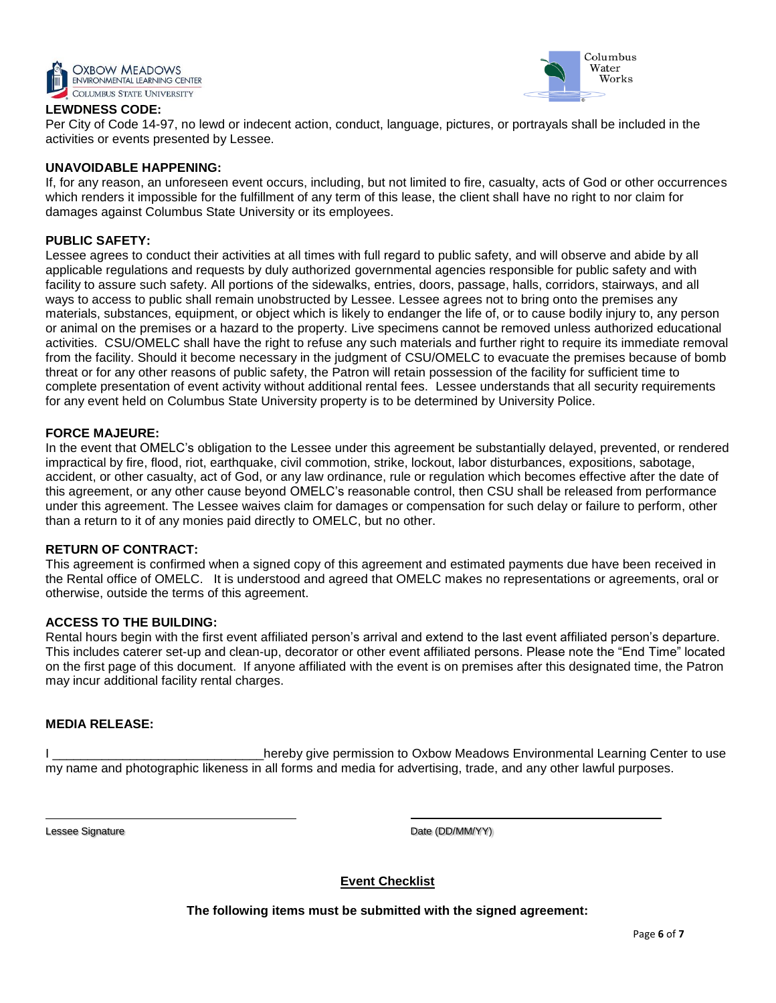



## **LEWDNESS CODE:**

Per City of Code 14-97, no lewd or indecent action, conduct, language, pictures, or portrayals shall be included in the activities or events presented by Lessee.

## **UNAVOIDABLE HAPPENING:**

If, for any reason, an unforeseen event occurs, including, but not limited to fire, casualty, acts of God or other occurrences which renders it impossible for the fulfillment of any term of this lease, the client shall have no right to nor claim for damages against Columbus State University or its employees.

## **PUBLIC SAFETY:**

Lessee agrees to conduct their activities at all times with full regard to public safety, and will observe and abide by all applicable regulations and requests by duly authorized governmental agencies responsible for public safety and with facility to assure such safety. All portions of the sidewalks, entries, doors, passage, halls, corridors, stairways, and all ways to access to public shall remain unobstructed by Lessee. Lessee agrees not to bring onto the premises any materials, substances, equipment, or object which is likely to endanger the life of, or to cause bodily injury to, any person or animal on the premises or a hazard to the property. Live specimens cannot be removed unless authorized educational activities. CSU/OMELC shall have the right to refuse any such materials and further right to require its immediate removal from the facility. Should it become necessary in the judgment of CSU/OMELC to evacuate the premises because of bomb threat or for any other reasons of public safety, the Patron will retain possession of the facility for sufficient time to complete presentation of event activity without additional rental fees. Lessee understands that all security requirements for any event held on Columbus State University property is to be determined by University Police.

## **FORCE MAJEURE:**

In the event that OMELC's obligation to the Lessee under this agreement be substantially delayed, prevented, or rendered impractical by fire, flood, riot, earthquake, civil commotion, strike, lockout, labor disturbances, expositions, sabotage, accident, or other casualty, act of God, or any law ordinance, rule or regulation which becomes effective after the date of this agreement, or any other cause beyond OMELC's reasonable control, then CSU shall be released from performance under this agreement. The Lessee waives claim for damages or compensation for such delay or failure to perform, other than a return to it of any monies paid directly to OMELC, but no other.

## **RETURN OF CONTRACT:**

This agreement is confirmed when a signed copy of this agreement and estimated payments due have been received in the Rental office of OMELC. It is understood and agreed that OMELC makes no representations or agreements, oral or otherwise, outside the terms of this agreement.

## **ACCESS TO THE BUILDING:**

Rental hours begin with the first event affiliated person's arrival and extend to the last event affiliated person's departure. This includes caterer set-up and clean-up, decorator or other event affiliated persons. Please note the "End Time" located on the first page of this document. If anyone affiliated with the event is on premises after this designated time, the Patron may incur additional facility rental charges.

## **MEDIA RELEASE:**

I contract the settlem is the reby give permission to Oxbow Meadows Environmental Learning Center to use my name and photographic likeness in all forms and media for advertising, trade, and any other lawful purposes.

Lessee Signature **Date (DD/MM/YY)** Date (DD/MM/YY)

**Event Checklist**

**The following items must be submitted with the signed agreement:**